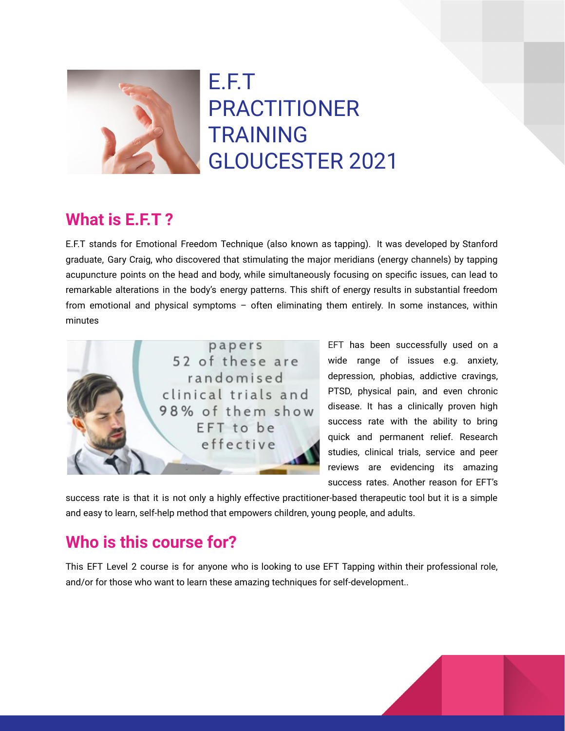

E.F.T PRACTITIONER TRAINING GLOUCESTER 2021

### **What is E.F.T ?**

E.F.T stands for Emotional Freedom Technique (also known as tapping). It was developed by Stanford graduate, Gary Craig, who discovered that stimulating the major meridians (energy channels) by tapping acupuncture points on the head and body, while simultaneously focusing on specific issues, can lead to remarkable alterations in the body's energy patterns. This shift of energy results in substantial freedom from emotional and physical symptoms – often eliminating them entirely. In some instances, within minutes



EFT has been successfully used on a wide range of issues e.g. anxiety, depression, phobias, addictive cravings, PTSD, physical pain, and even chronic disease. It has a clinically proven high success rate with the ability to bring quick and permanent relief. Research studies, clinical trials, service and peer reviews are evidencing its amazing success rates. Another reason for EFT's

success rate is that it is not only a highly effective practitioner-based therapeutic tool but it is a simple and easy to learn, self-help method that empowers children, young people, and adults.

## **Who is this course for?**

This EFT Level 2 course is for anyone who is looking to use EFT Tapping within their professional role, and/or for those who want to learn these amazing techniques for self-development..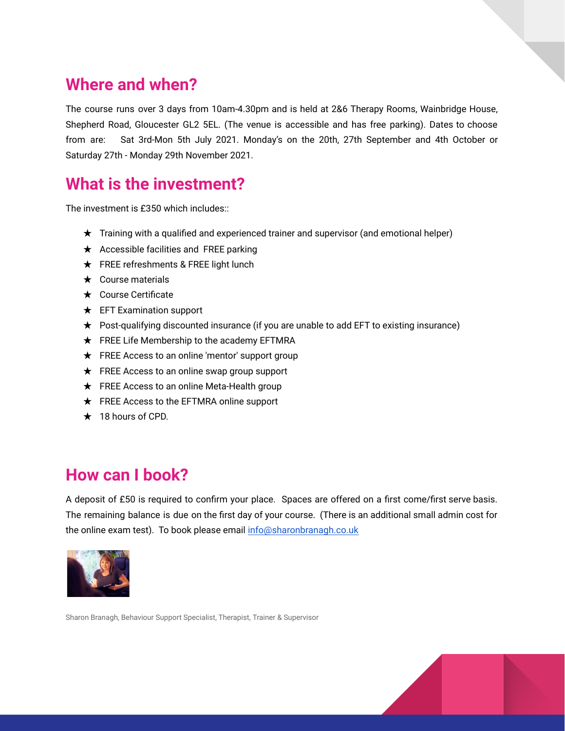### **Where and when?**

The course runs over 3 days from 10am-4.30pm and is held at 2&6 Therapy Rooms, Wainbridge House, Shepherd Road, Gloucester GL2 5EL. (The venue is accessible and has free parking). Dates to choose from are: Sat 3rd-Mon 5th July 2021. Monday's on the 20th, 27th September and 4th October or Saturday 27th - Monday 29th November 2021.

# **What is the investment?**

The investment is £350 which includes::

- ★ Training with a qualified and experienced trainer and supervisor (and emotional helper)
- ★ Accessible facilities and FREE parking
- ★ FREE refreshments & FREE light lunch
- $\star$  Course materials
- ★ Course Certificate
- ★ EFT Examination support
- ★ Post-qualifying discounted insurance (if you are unable to add EFT to existing insurance)
- $\star$  FREE Life Membership to the academy EFTMRA
- $\star$  FREE Access to an online 'mentor' support group
- ★ FREE Access to an online swap group support
- ★ FREE Access to an online Meta-Health group
- ★ FREE Access to the EFTMRA online support
- $\star$  18 hours of CPD.

#### **How can I book?**

A deposit of £50 is required to confirm your place. Spaces are offered on a first come/first serve basis. The remaining balance is due on the first day of your course. (There is an additional small admin cost for the online exam test). To book please email [info@sharonbranagh.co.uk](mailto:info@sharonbranagh.co.uk)



Sharon Branagh, Behaviour Support Specialist, Therapist, Trainer & Supervisor